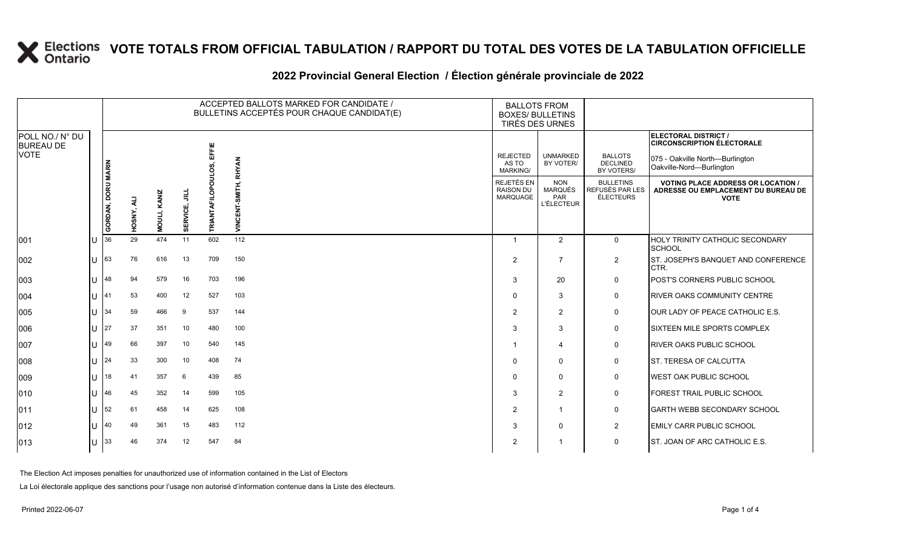|                                                    |     |                    |            |              |               |                 | ACCEPTED BALLOTS MARKED FOR CANDIDATE /<br>BULLETINS ACCEPTÉS POUR CHAQUE CANDIDAT(E) | <b>BALLOTS FROM</b><br><b>BOXES/ BULLETINS</b><br>TIRÉS DES URNES |                                                          |                                                  |                                                                                                                          |
|----------------------------------------------------|-----|--------------------|------------|--------------|---------------|-----------------|---------------------------------------------------------------------------------------|-------------------------------------------------------------------|----------------------------------------------------------|--------------------------------------------------|--------------------------------------------------------------------------------------------------------------------------|
| POLL NO./ N° DU<br><b>BUREAU DE</b><br><b>VOTE</b> |     |                    |            |              |               | EFFIE           | <b>RHYAN</b>                                                                          | <b>REJECTED</b><br>AS TO<br>MARKING/                              | <b>UNMARKED</b><br>BY VOTER/                             | <b>BALLOTS</b><br><b>DECLINED</b><br>BY VOTERS/  | ELECTORAL DISTRICT /<br><b>CIRCONSCRIPTION ÉLECTORALE</b><br>075 - Oakville North-Burlington<br>Oakville-Nord-Burlington |
|                                                    |     | GORDAN, DORU MARIN | HOSNY, ALI | MOULI, KANIZ | 흑<br>SERVICE, | RIANTAFILO<br>⊢ | VINCENT-SMITH,                                                                        | REJETÉS EN<br><b>RAISON DU</b><br>MARQUAGE                        | <b>NON</b><br><b>MARQUÉS</b><br>PAR<br><b>L'ÉLECTEUR</b> | <b>BULLETINS</b><br>REFUSÉS PAR LES<br>ÉLECTEURS | <b>VOTING PLACE ADDRESS OR LOCATION /</b><br>ADRESSE OU EMPLACEMENT DU BUREAU DE<br><b>VOTE</b>                          |
| 001                                                |     | 36                 | 29         | 474          | 11            | 602             | 112                                                                                   | $\mathbf{1}$                                                      | 2                                                        | $\mathbf 0$                                      | HOLY TRINITY CATHOLIC SECONDARY<br><b>SCHOOL</b>                                                                         |
| 002                                                |     | 63                 | 76         | 616          | 13            | 709             | 150                                                                                   | $\overline{2}$                                                    | $\overline{7}$                                           | $\overline{2}$                                   | ST. JOSEPH'S BANQUET AND CONFERENCE<br>CTR.                                                                              |
| 003                                                |     | 48                 | 94         | 579          | 16            | 703             | 196                                                                                   | 3                                                                 | 20                                                       | $\Omega$                                         | POST'S CORNERS PUBLIC SCHOOL                                                                                             |
| 004                                                |     | 41                 | 53         | 400          | 12            | 527             | 103                                                                                   | $\Omega$                                                          | 3                                                        | $\mathbf 0$                                      | <b>RIVER OAKS COMMUNITY CENTRE</b>                                                                                       |
| 005                                                |     | 34                 | 59         | 466          | 9             | 537             | 144                                                                                   | $\mathcal{P}$                                                     | 2                                                        | $\mathbf 0$                                      | OUR LADY OF PEACE CATHOLIC E.S.                                                                                          |
| 006                                                |     | 27                 | 37         | 351          | 10            | 480             | 100                                                                                   | 3                                                                 | 3                                                        | $\mathbf 0$                                      | SIXTEEN MILE SPORTS COMPLEX                                                                                              |
| 007                                                |     | 49                 | 66         | 397          | 10            | 540             | 145                                                                                   | -1                                                                | $\overline{4}$                                           | $\mathbf 0$                                      | <b>RIVER OAKS PUBLIC SCHOOL</b>                                                                                          |
| 008                                                |     | 24                 | 33         | 300          | 10            | 408             | 74                                                                                    | $\Omega$                                                          | $\mathbf 0$                                              | $\mathbf 0$                                      | ST. TERESA OF CALCUTTA                                                                                                   |
| 009                                                |     | 18                 | 41         | 357          | 6             | 439             | 85                                                                                    | $\Omega$                                                          | $\mathbf 0$                                              | $\mathbf 0$                                      | WEST OAK PUBLIC SCHOOL                                                                                                   |
| 010                                                |     | 46                 | 45         | 352          | 14            | 599             | 105                                                                                   | 3                                                                 | 2                                                        | $\mathbf 0$                                      | FOREST TRAIL PUBLIC SCHOOL                                                                                               |
| 011                                                |     | 52                 | 61         | 458          | 14            | 625             | 108                                                                                   | $\overline{2}$                                                    | $\overline{1}$                                           | $\mathbf 0$                                      | <b>GARTH WEBB SECONDARY SCHOOL</b>                                                                                       |
| 012                                                |     | 40                 | 49         | 361          | 15            | 483             | 112                                                                                   | 3                                                                 | $\Omega$                                                 | $\overline{2}$                                   | <b>EMILY CARR PUBLIC SCHOOL</b>                                                                                          |
| 013                                                | lU. | 33                 | 46         | 374          | 12            | 547             | 84                                                                                    | $\overline{2}$                                                    | -1                                                       | $\mathbf 0$                                      | ST. JOAN OF ARC CATHOLIC E.S.                                                                                            |

#### **2022 Provincial General Election / Élection générale provinciale de 2022**

The Election Act imposes penalties for unauthorized use of information contained in the List of Electors

La Loi électorale applique des sanctions pour l'usage non autorisé d'information contenue dans la Liste des électeurs.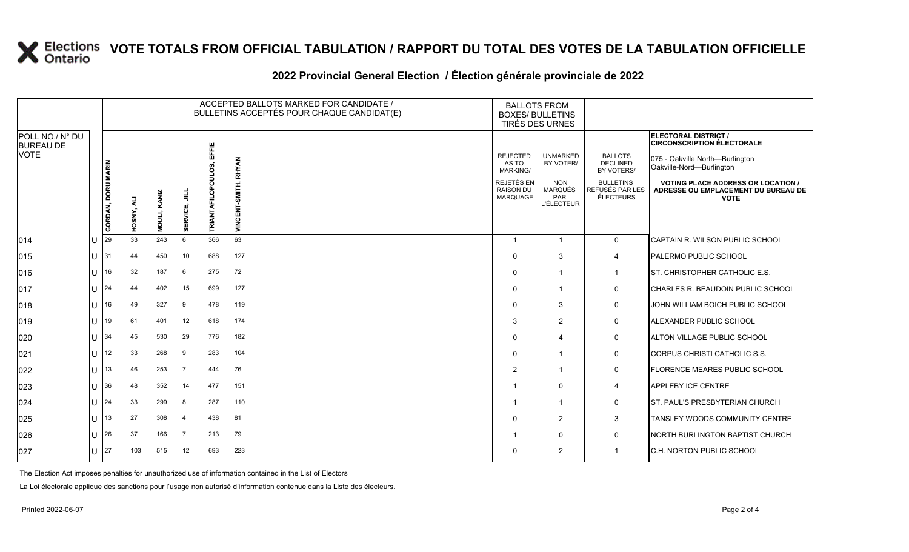#### **2022 Provincial General Election / Élection générale provinciale de 2022**

|                                                    |       |                    |            |              |                |                 | ACCEPTED BALLOTS MARKED FOR CANDIDATE /<br>BULLETINS ACCEPTÉS POUR CHAQUE CANDIDAT(E) | <b>BALLOTS FROM</b>                               | <b>BOXES/ BULLETINS</b><br>TIRÉS DES URNES               |                                                         |                                                                                                 |
|----------------------------------------------------|-------|--------------------|------------|--------------|----------------|-----------------|---------------------------------------------------------------------------------------|---------------------------------------------------|----------------------------------------------------------|---------------------------------------------------------|-------------------------------------------------------------------------------------------------|
| POLL NO./ N° DU<br><b>BUREAU DE</b><br><b>VOTE</b> |       |                    |            |              |                | <b>EFFIE</b>    |                                                                                       |                                                   |                                                          |                                                         | ELECTORAL DISTRICT /<br><b>CIRCONSCRIPTION ÉLECTORALE</b>                                       |
|                                                    |       |                    |            |              |                |                 | <b>RHYAN</b>                                                                          | <b>REJECTED</b><br>AS TO<br><b>MARKING/</b>       | <b>UNMARKED</b><br>BY VOTER/                             | <b>BALLOTS</b><br><b>DECLINED</b><br>BY VOTERS/         | 075 - Oakville North-Burlington<br>Oakville-Nord-Burlington                                     |
|                                                    |       | GORDAN, DORU MARIN | HOSNY, ALI | MOULI, KANIZ | ₹<br>ERVICE,   | ႍ<br>TRIANTAFII | VINCENT-SMITH,                                                                        | REJETÉS EN<br><b>RAISON DU</b><br><b>MARQUAGE</b> | <b>NON</b><br><b>MARQUÉS</b><br>PAR<br><b>L'ÉLECTEUR</b> | <b>BULLETINS</b><br>REFUSÉS PAR LES<br><b>ÉLECTEURS</b> | <b>VOTING PLACE ADDRESS OR LOCATION /</b><br>ADRESSE OU EMPLACEMENT DU BUREAU DE<br><b>VOTE</b> |
| 014                                                | ПJ    | 29                 | 33         | 243          | ø,<br>6        | 366             | 63                                                                                    | $\overline{1}$                                    | $\overline{1}$                                           | $\mathbf{0}$                                            | CAPTAIN R. WILSON PUBLIC SCHOOL                                                                 |
| 015                                                | U     | 31                 | 44         | 450          | 10             | 688             | 127                                                                                   | $\Omega$                                          | 3                                                        | $\overline{4}$                                          | <b>PALERMO PUBLIC SCHOOL</b>                                                                    |
| 016                                                | ΙU    | 16                 | 32         | 187          | 6              | 275             | 72                                                                                    | $\Omega$                                          | $\overline{\mathbf{1}}$                                  | $\overline{1}$                                          | <b>ST. CHRISTOPHER CATHOLIC E.S.</b>                                                            |
| 017                                                | 1 L L | 24                 | 44         | 402          | 15             | 699             | 127                                                                                   | $\Omega$                                          | $\mathbf{1}$                                             | $\mathbf 0$                                             | <b>CHARLES R. BEAUDOIN PUBLIC SCHOOL</b>                                                        |
| 018                                                | ПJ    | 16                 | 49         | 327          | -9             | 478             | 119                                                                                   | $\Omega$                                          | 3                                                        | 0                                                       | JOHN WILLIAM BOICH PUBLIC SCHOOL                                                                |
| 019                                                | ПJ    | 19                 | 61         | 401          | 12             | 618             | 174                                                                                   | 3                                                 | $\overline{2}$                                           | $\mathsf{O}$                                            | ALEXANDER PUBLIC SCHOOL                                                                         |
| 020                                                | ПJ    | 34                 | 45         | 530          | 29             | 776             | 182                                                                                   | $\Omega$                                          | $\overline{4}$                                           | 0                                                       | ALTON VILLAGE PUBLIC SCHOOL                                                                     |
| 021                                                | ПJ    | 12                 | 33         | 268          | 9              | 283             | 104                                                                                   | $\Omega$                                          |                                                          | 0                                                       | CORPUS CHRISTI CATHOLIC S.S.                                                                    |
| 022                                                | U     | 13                 | 46         | 253          | $\overline{7}$ | 444             | 76                                                                                    | $\overline{2}$                                    | $\overline{\mathbf{1}}$                                  | $\mathsf{O}$                                            | <b>FLORENCE MEARES PUBLIC SCHOOL</b>                                                            |
| 023                                                | ПJ    | 36                 | 48         | 352          | 14             | 477             | 151                                                                                   |                                                   | $\mathbf 0$                                              | 4                                                       | <b>APPLEBY ICE CENTRE</b>                                                                       |
| 024                                                | ΙU    | 24                 | 33         | 299          | 8              | 287             | 110                                                                                   |                                                   | $\overline{\mathbf{1}}$                                  | $\mathsf{O}$                                            | <b>IST. PAUL'S PRESBYTERIAN CHURCH</b>                                                          |
| 025                                                | ПT    | 13                 | 27         | 308          | $\overline{4}$ | 438             | 81                                                                                    | $\Omega$                                          | $\overline{2}$                                           | 3                                                       | TANSLEY WOODS COMMUNITY CENTRE                                                                  |
| 026                                                | ЦJ    | 26                 | 37         | 166          | $\overline{7}$ | 213             | 79                                                                                    |                                                   | $\mathbf{0}$                                             | $\mathbf 0$                                             | <b>NORTH BURLINGTON BAPTIST CHURCH</b>                                                          |
| 027                                                | IU.   | 27                 | 103        | 515          | 12             | 693             | 223                                                                                   | $\Omega$                                          | $\overline{2}$                                           |                                                         | <b>C.H. NORTON PUBLIC SCHOOL</b>                                                                |

The Election Act imposes penalties for unauthorized use of information contained in the List of Electors

La Loi électorale applique des sanctions pour l'usage non autorisé d'information contenue dans la Liste des électeurs.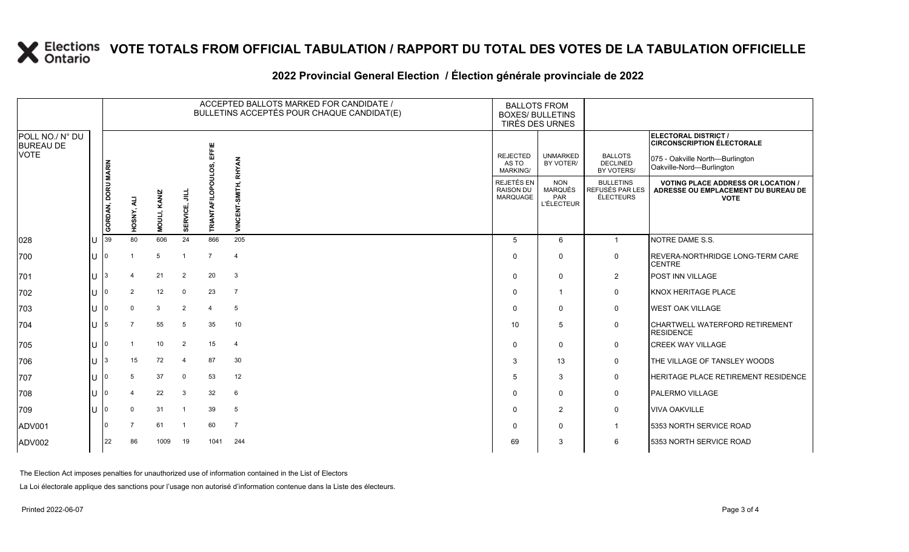#### **2022 Provincial General Election / Élection générale provinciale de 2022**

|                                     |  |                    |            |              |                | ACCEPTED BALLOTS MARKED FOR CANDIDATE /<br>BULLETINS ACCEPTÉS POUR CHAQUE CANDIDAT(E) | <b>BALLOTS FROM</b><br><b>BOXES/ BULLETINS</b><br>TIRÉS DES URNES |                                                   |                                                          |                                                  |                                                                                               |
|-------------------------------------|--|--------------------|------------|--------------|----------------|---------------------------------------------------------------------------------------|-------------------------------------------------------------------|---------------------------------------------------|----------------------------------------------------------|--------------------------------------------------|-----------------------------------------------------------------------------------------------|
| POLL NO./ N° DU<br><b>BUREAU DE</b> |  |                    |            |              |                |                                                                                       |                                                                   |                                                   |                                                          |                                                  | ELECTORAL DISTRICT /<br><b>CIRCONSCRIPTION ÉLECTORALE</b>                                     |
| VOTE                                |  |                    |            |              |                | 置                                                                                     | <b>RHYAN</b>                                                      | <b>REJECTED</b><br>AS TO<br><b>MARKING/</b>       | <b>UNMARKED</b><br>BY VOTER/                             | <b>BALLOTS</b><br><b>DECLINED</b><br>BY VOTERS/  | 075 - Oakville North-Burlington<br>Oakville-Nord-Burlington                                   |
|                                     |  | GORDAN, DORU MARIN | HOSNY, ALI | MOULI, KANIZ | ₹<br>SERVICE,  | o<br><b>TRIANTAFIL</b>                                                                | VINCENT-SMITH,                                                    | REJETÉS EN<br><b>RAISON DU</b><br><b>MARQUAGE</b> | <b>NON</b><br><b>MARQUÉS</b><br>PAR<br><b>L'ÉLECTEUR</b> | <b>BULLETINS</b><br>REFUSÉS PAR LES<br>ÉLECTEURS | <b>VOTING PLACE ADDRESS OR LOCATION</b><br>ADRESSE OU EMPLACEMENT DU BUREAU DE<br><b>VOTE</b> |
| 028                                 |  | 39                 | 80         | 606          | 24             | 866                                                                                   | 205                                                               | 5                                                 | 6                                                        | $\overline{1}$                                   | NOTRE DAME S.S.                                                                               |
| 700                                 |  | 0                  |            | 5            |                | $\overline{7}$                                                                        | $\overline{4}$                                                    | $\Omega$                                          | $\mathbf{0}$                                             | 0                                                | <b>REVERA-NORTHRIDGE LONG-TERM CARE</b><br><b>CENTRE</b>                                      |
| 701                                 |  |                    |            | 21           | $\overline{2}$ | 20                                                                                    | $\mathbf{3}$                                                      | $\Omega$                                          | $\mathbf{0}$                                             | $\overline{2}$                                   | POST INN VILLAGE                                                                              |
| 702                                 |  | n                  | 2          | 12           | 0              | 23                                                                                    | $\overline{7}$                                                    | $\Omega$                                          | $\mathbf 1$                                              | $\mathbf 0$                                      | <b>KNOX HERITAGE PLACE</b>                                                                    |
| 703                                 |  |                    | $\Omega$   | 3            | $\overline{2}$ | $\overline{4}$                                                                        | 5                                                                 | $\Omega$                                          | $\mathbf{0}$                                             | 0                                                | <b>WEST OAK VILLAGE</b>                                                                       |
| 704                                 |  | 5                  |            | 55           | 5              | 35                                                                                    | 10                                                                | 10                                                | 5                                                        | 0                                                | CHARTWELL WATERFORD RETIREMENT<br><b>RESIDENCE</b>                                            |
| 705                                 |  | 0                  |            | 10           | $\overline{2}$ | 15                                                                                    | $\overline{4}$                                                    | $\Omega$                                          | $\Omega$                                                 | 0                                                | <b>CREEK WAY VILLAGE</b>                                                                      |
| 706                                 |  |                    | 15         | 72           | $\overline{4}$ | 87                                                                                    | 30                                                                | 3                                                 | 13                                                       | 0                                                | THE VILLAGE OF TANSLEY WOODS                                                                  |
| 707                                 |  |                    | 5          | 37           | 0              | 53                                                                                    | 12                                                                | 5                                                 | 3                                                        | 0                                                | HERITAGE PLACE RETIREMENT RESIDENCE                                                           |
| 708                                 |  |                    |            | 22           | 3              | 32                                                                                    | 6                                                                 | $\Omega$                                          | $\mathbf{0}$                                             | 0                                                | <b>PALERMO VILLAGE</b>                                                                        |
| 709                                 |  |                    | $\Omega$   | 31           | $\overline{1}$ | 39                                                                                    | 5                                                                 | $\Omega$                                          | $\overline{2}$                                           | 0                                                | <b>VIVA OAKVILLE</b>                                                                          |
| ADV001                              |  |                    | 7          | 61           | -1             | 60                                                                                    | $\overline{7}$                                                    | $\Omega$                                          | $\mathbf{0}$                                             | $\mathbf 1$                                      | 5353 NORTH SERVICE ROAD                                                                       |
| <b>ADV002</b>                       |  | 22                 | 86         | 1009         | 19             | 1041                                                                                  | 244                                                               | 69                                                | 3                                                        | 6                                                | 5353 NORTH SERVICE ROAD                                                                       |

The Election Act imposes penalties for unauthorized use of information contained in the List of Electors

La Loi électorale applique des sanctions pour l'usage non autorisé d'information contenue dans la Liste des électeurs.